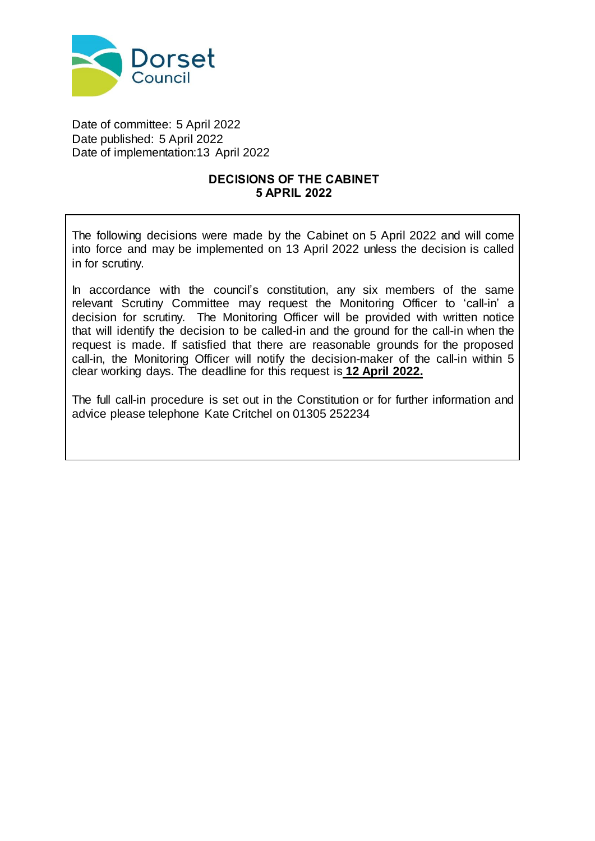

Date of committee: 5 April 2022 Date published: 5 April 2022 Date of implementation:13 April 2022

## **DECISIONS OF THE CABINET 5 APRIL 2022**

The following decisions were made by the Cabinet on 5 April 2022 and will come into force and may be implemented on 13 April 2022 unless the decision is called in for scrutiny.

In accordance with the council's constitution, any six members of the same relevant Scrutiny Committee may request the Monitoring Officer to 'call-in' a decision for scrutiny. The Monitoring Officer will be provided with written notice that will identify the decision to be called-in and the ground for the call-in when the request is made. If satisfied that there are reasonable grounds for the proposed call-in, the Monitoring Officer will notify the decision-maker of the call-in within 5 clear working days. The deadline for this request is **12 April 2022.**

The full call-in procedure is set out in the Constitution or for further information and advice please telephone Kate Critchel on 01305 252234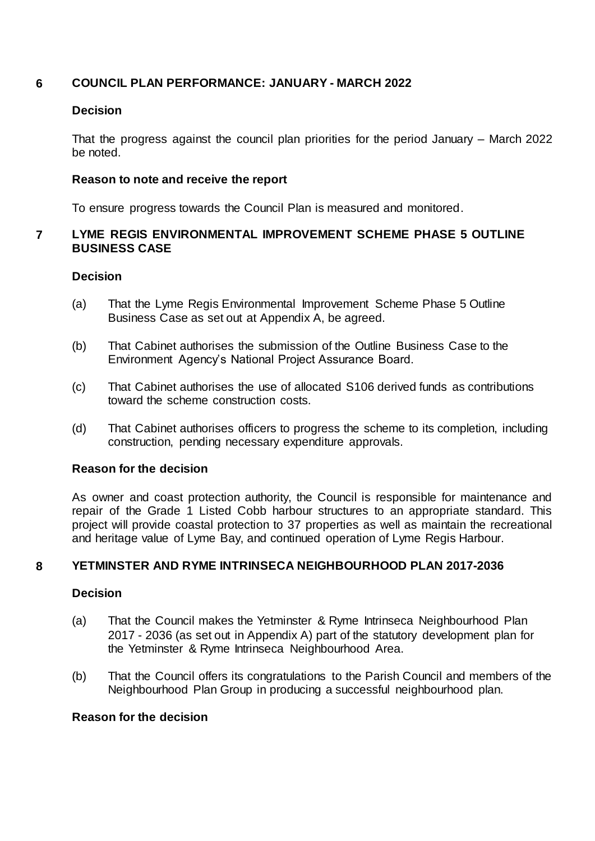# **6 COUNCIL PLAN PERFORMANCE: JANUARY - MARCH 2022**

## **Decision**

That the progress against the council plan priorities for the period January – March 2022 be noted.

## **Reason to note and receive the report**

To ensure progress towards the Council Plan is measured and monitored.

# **7 LYME REGIS ENVIRONMENTAL IMPROVEMENT SCHEME PHASE 5 OUTLINE BUSINESS CASE**

# **Decision**

- (a) That the Lyme Regis Environmental Improvement Scheme Phase 5 Outline Business Case as set out at Appendix A, be agreed.
- (b) That Cabinet authorises the submission of the Outline Business Case to the Environment Agency's National Project Assurance Board.
- (c) That Cabinet authorises the use of allocated S106 derived funds as contributions toward the scheme construction costs.
- (d) That Cabinet authorises officers to progress the scheme to its completion, including construction, pending necessary expenditure approvals.

## **Reason for the decision**

As owner and coast protection authority, the Council is responsible for maintenance and repair of the Grade 1 Listed Cobb harbour structures to an appropriate standard. This project will provide coastal protection to 37 properties as well as maintain the recreational and heritage value of Lyme Bay, and continued operation of Lyme Regis Harbour.

# **8 YETMINSTER AND RYME INTRINSECA NEIGHBOURHOOD PLAN 2017-2036**

## **Decision**

- (a) That the Council makes the Yetminster & Ryme Intrinseca Neighbourhood Plan 2017 - 2036 (as set out in Appendix A) part of the statutory development plan for the Yetminster & Ryme Intrinseca Neighbourhood Area.
- (b) That the Council offers its congratulations to the Parish Council and members of the Neighbourhood Plan Group in producing a successful neighbourhood plan.

## **Reason for the decision**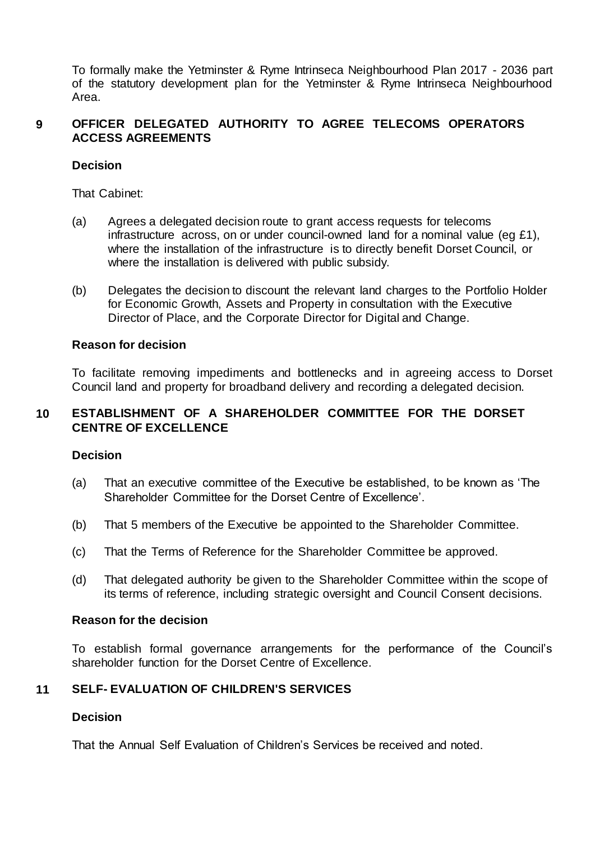To formally make the Yetminster & Ryme Intrinseca Neighbourhood Plan 2017 - 2036 part of the statutory development plan for the Yetminster & Ryme Intrinseca Neighbourhood Area.

### **9 OFFICER DELEGATED AUTHORITY TO AGREE TELECOMS OPERATORS ACCESS AGREEMENTS**

## **Decision**

That Cabinet:

- (a) Agrees a delegated decision route to grant access requests for telecoms infrastructure across, on or under council-owned land for a nominal value (eg £1), where the installation of the infrastructure is to directly benefit Dorset Council, or where the installation is delivered with public subsidy.
- (b) Delegates the decision to discount the relevant land charges to the Portfolio Holder for Economic Growth, Assets and Property in consultation with the Executive Director of Place, and the Corporate Director for Digital and Change.

## **Reason for decision**

To facilitate removing impediments and bottlenecks and in agreeing access to Dorset Council land and property for broadband delivery and recording a delegated decision.

# **10 ESTABLISHMENT OF A SHAREHOLDER COMMITTEE FOR THE DORSET CENTRE OF EXCELLENCE**

# **Decision**

- (a) That an executive committee of the Executive be established, to be known as 'The Shareholder Committee for the Dorset Centre of Excellence'.
- (b) That 5 members of the Executive be appointed to the Shareholder Committee.
- (c) That the Terms of Reference for the Shareholder Committee be approved.
- (d) That delegated authority be given to the Shareholder Committee within the scope of its terms of reference, including strategic oversight and Council Consent decisions.

## **Reason for the decision**

To establish formal governance arrangements for the performance of the Council's shareholder function for the Dorset Centre of Excellence.

## **11 SELF- EVALUATION OF CHILDREN'S SERVICES**

## **Decision**

That the Annual Self Evaluation of Children's Services be received and noted.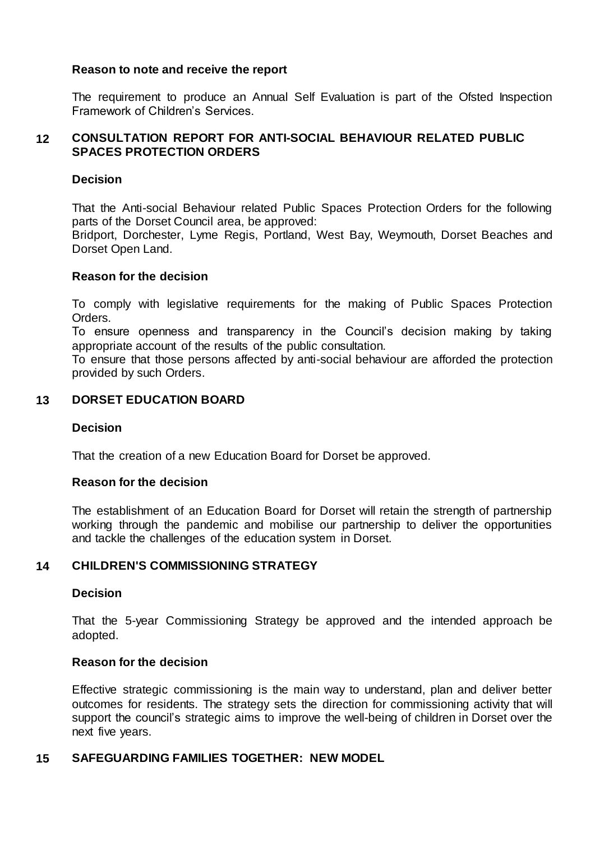### **Reason to note and receive the report**

The requirement to produce an Annual Self Evaluation is part of the Ofsted Inspection Framework of Children's Services.

### **12 CONSULTATION REPORT FOR ANTI-SOCIAL BEHAVIOUR RELATED PUBLIC SPACES PROTECTION ORDERS**

### **Decision**

That the Anti-social Behaviour related Public Spaces Protection Orders for the following parts of the Dorset Council area, be approved:

Bridport, Dorchester, Lyme Regis, Portland, West Bay, Weymouth, Dorset Beaches and Dorset Open Land.

### **Reason for the decision**

To comply with legislative requirements for the making of Public Spaces Protection Orders.

To ensure openness and transparency in the Council's decision making by taking appropriate account of the results of the public consultation.

To ensure that those persons affected by anti-social behaviour are afforded the protection provided by such Orders.

### **13 DORSET EDUCATION BOARD**

#### **Decision**

That the creation of a new Education Board for Dorset be approved.

#### **Reason for the decision**

The establishment of an Education Board for Dorset will retain the strength of partnership working through the pandemic and mobilise our partnership to deliver the opportunities and tackle the challenges of the education system in Dorset.

### **14 CHILDREN'S COMMISSIONING STRATEGY**

#### **Decision**

That the 5-year Commissioning Strategy be approved and the intended approach be adopted.

### **Reason for the decision**

Effective strategic commissioning is the main way to understand, plan and deliver better outcomes for residents. The strategy sets the direction for commissioning activity that will support the council's strategic aims to improve the well-being of children in Dorset over the next five years.

#### **15 SAFEGUARDING FAMILIES TOGETHER: NEW MODEL**